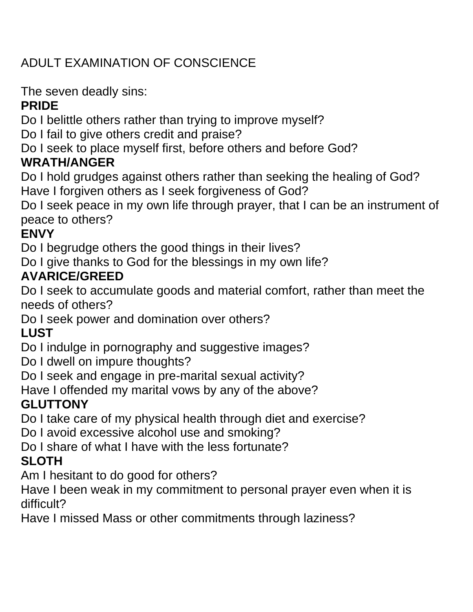## ADULT EXAMINATION OF CONSCIENCE

The seven deadly sins:

### **PRIDE**

Do I belittle others rather than trying to improve myself?

Do I fail to give others credit and praise?

Do I seek to place myself first, before others and before God?

## **WRATH/ANGER**

Do I hold grudges against others rather than seeking the healing of God? Have I forgiven others as I seek forgiveness of God?

Do I seek peace in my own life through prayer, that I can be an instrument of peace to others?

### **ENVY**

Do I begrudge others the good things in their lives?

Do I give thanks to God for the blessings in my own life?

### **AVARICE/GREED**

Do I seek to accumulate goods and material comfort, rather than meet the needs of others?

Do I seek power and domination over others?

## **LUST**

Do I indulge in pornography and suggestive images?

Do I dwell on impure thoughts?

Do I seek and engage in pre-marital sexual activity?

Have I offended my marital vows by any of the above?

## **GLUTTONY**

Do I take care of my physical health through diet and exercise?

Do I avoid excessive alcohol use and smoking?

Do I share of what I have with the less fortunate?

# **SLOTH**

Am I hesitant to do good for others?

Have I been weak in my commitment to personal prayer even when it is difficult?

Have I missed Mass or other commitments through laziness?